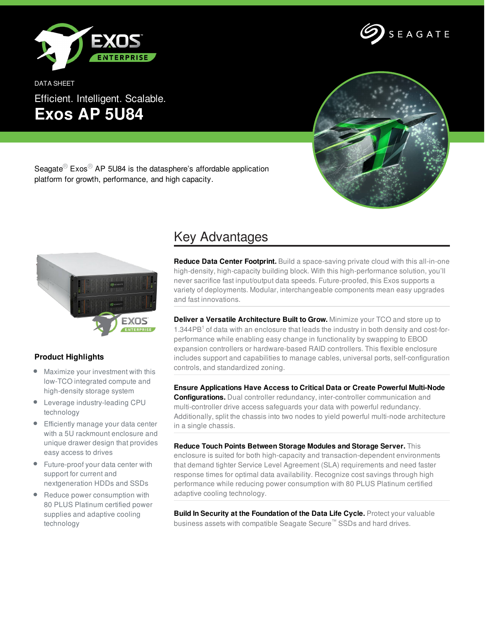

DATA SHEET Efficient. Intelligent. Scalable. **Exos AP 5U84**





Seagate<sup>®</sup> Exos<sup>®</sup> AP 5U84 is the datasphere's affordable application platform for growth, performance, and high capacity.



## **Product Highlights**

- Maximize your investment with this low-TCO integrated compute and high-density storage system
- Leverage industry-leading CPU technology
- **Efficiently manage your data center** with a 5U rackmount enclosure and unique drawer design that provides easy access to drives
- Future-proof your data center with support for current and nextgeneration HDDs and SSDs
- Reduce power consumption with 80 PLUS Platinum certified power supplies and adaptive cooling technology

## Key Advantages

**Reduce Data Center Footprint.** Build a space-saving private cloud with this all-in-one high-density, high-capacity building block. With this high-performance solution, you'll never sacrifice fast input/output data speeds. Future-proofed, this Exos supports a variety of deployments. Modular, interchangeable components mean easy upgrades and fast innovations.

**Deliver a Versatile Architecture Built to Grow.** Minimize your TCO and store up to 1.344PB<sup>1</sup> of data with an enclosure that leads the industry in both density and cost-forperformance while enabling easy change in functionality by swapping to EBOD expansion controllers or hardware-based RAID controllers. This flexible enclosure includes support and capabilities to manage cables, universal ports, self-configuration controls, and standardized zoning.

**Ensure Applications Have Access to Critical Data or Create Powerful Multi-Node Configurations.** Dual controller redundancy, inter-controller communication and multi-controller drive access safeguards your data with powerful redundancy. Additionally, split the chassis into two nodes to yield powerful multi-node architecture in a single chassis.

**Reduce Touch Points Between Storage Modules and Storage Server.** This enclosure is suited for both high-capacity and transaction-dependent environments that demand tighter Service Level Agreement (SLA) requirements and need faster response times for optimal data availability. Recognize cost savings through high performance while reducing power consumption with 80 PLUS Platinum certified adaptive cooling technology.

**Build In Security at the Foundation of the Data Life Cycle.** Protect your valuable business assets with compatible Seagate Secure™ SSDs and hard drives.